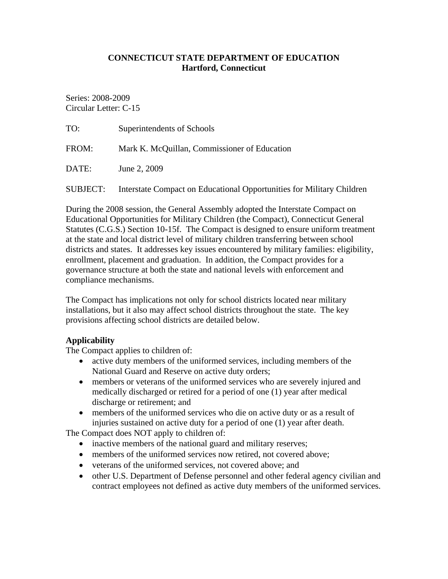#### **CONNECTICUT STATE DEPARTMENT OF EDUCATION Hartford, Connecticut**

Series: 2008-2009 Circular Letter: C-15

| TO:      | Superintendents of Schools                                            |
|----------|-----------------------------------------------------------------------|
| FROM:    | Mark K. McQuillan, Commissioner of Education                          |
| DATE:    | June 2, 2009                                                          |
| SUBJECT: | Interstate Compact on Educational Opportunities for Military Children |

During the 2008 session, the General Assembly adopted the Interstate Compact on Educational Opportunities for Military Children (the Compact), Connecticut General Statutes (C.G.S.) Section 10-15f. The Compact is designed to ensure uniform treatment at the state and local district level of military children transferring between school districts and states. It addresses key issues encountered by military families: eligibility, enrollment, placement and graduation. In addition, the Compact provides for a governance structure at both the state and national levels with enforcement and compliance mechanisms.

The Compact has implications not only for school districts located near military installations, but it also may affect school districts throughout the state. The key provisions affecting school districts are detailed below.

# **Applicability**

The Compact applies to children of:

- active duty members of the uniformed services, including members of the National Guard and Reserve on active duty orders;
- members or veterans of the uniformed services who are severely injured and medically discharged or retired for a period of one (1) year after medical discharge or retirement; and
- members of the uniformed services who die on active duty or as a result of injuries sustained on active duty for a period of one (1) year after death.

The Compact does NOT apply to children of:

- inactive members of the national guard and military reserves;
- members of the uniformed services now retired, not covered above;
- veterans of the uniformed services, not covered above; and
- other U.S. Department of Defense personnel and other federal agency civilian and contract employees not defined as active duty members of the uniformed services.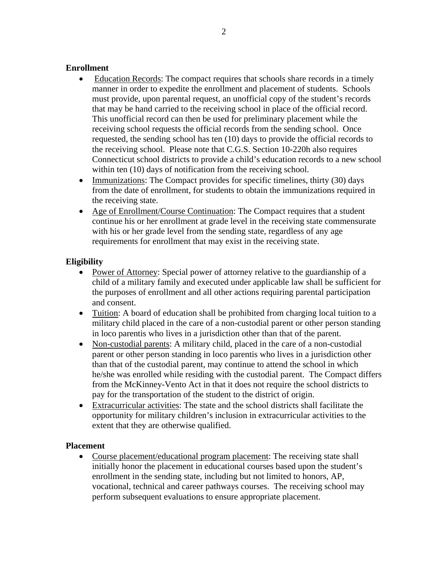#### **Enrollment**

- Education Records: The compact requires that schools share records in a timely manner in order to expedite the enrollment and placement of students. Schools must provide, upon parental request, an unofficial copy of the student's records that may be hand carried to the receiving school in place of the official record. This unofficial record can then be used for preliminary placement while the receiving school requests the official records from the sending school. Once requested, the sending school has ten (10) days to provide the official records to the receiving school. Please note that C.G.S. Section 10-220h also requires Connecticut school districts to provide a child's education records to a new school within ten (10) days of notification from the receiving school.
- Immunizations: The Compact provides for specific timelines, thirty (30) days from the date of enrollment, for students to obtain the immunizations required in the receiving state.
- Age of Enrollment/Course Continuation: The Compact requires that a student continue his or her enrollment at grade level in the receiving state commensurate with his or her grade level from the sending state, regardless of any age requirements for enrollment that may exist in the receiving state.

# **Eligibility**

- Power of Attorney: Special power of attorney relative to the guardianship of a child of a military family and executed under applicable law shall be sufficient for the purposes of enrollment and all other actions requiring parental participation and consent.
- Tuition: A board of education shall be prohibited from charging local tuition to a military child placed in the care of a non-custodial parent or other person standing in loco parentis who lives in a jurisdiction other than that of the parent.
- Non-custodial parents: A military child, placed in the care of a non-custodial parent or other person standing in loco parentis who lives in a jurisdiction other than that of the custodial parent, may continue to attend the school in which he/she was enrolled while residing with the custodial parent. The Compact differs from the McKinney-Vento Act in that it does not require the school districts to pay for the transportation of the student to the district of origin.
- Extracurricular activities: The state and the school districts shall facilitate the opportunity for military children's inclusion in extracurricular activities to the extent that they are otherwise qualified.

# **Placement**

• Course placement/educational program placement: The receiving state shall initially honor the placement in educational courses based upon the student's enrollment in the sending state, including but not limited to honors, AP, vocational, technical and career pathways courses. The receiving school may perform subsequent evaluations to ensure appropriate placement.